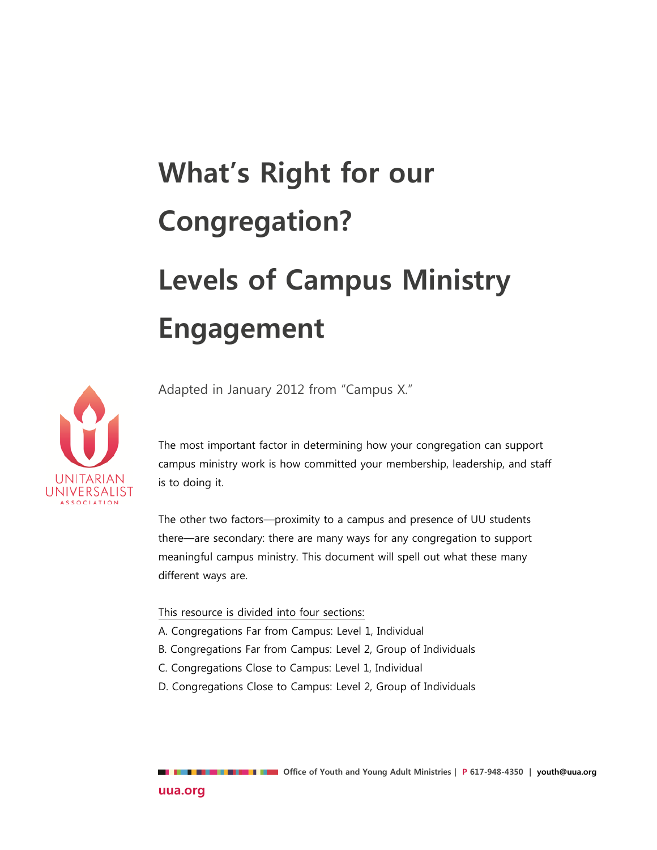# **What's Right for our Congregation? Levels of Campus Ministry Engagement**



Adapted in January 2012 from "Campus X."

The most important factor in determining how your congregation can support campus ministry work is how committed your membership, leadership, and staff is to doing it.

The other two factors—proximity to a campus and presence of UU students there—are secondary: there are many ways for any congregation to support meaningful campus ministry. This document will spell out what these many different ways are.

#### This resource is divided into four sections:

- A. Congregations Far from Campus: Level 1, Individual
- B. Congregations Far from Campus: Level 2, Group of Individuals
- C. Congregations Close to Campus: Level 1, Individual
- D. Congregations Close to Campus: Level 2, Group of Individuals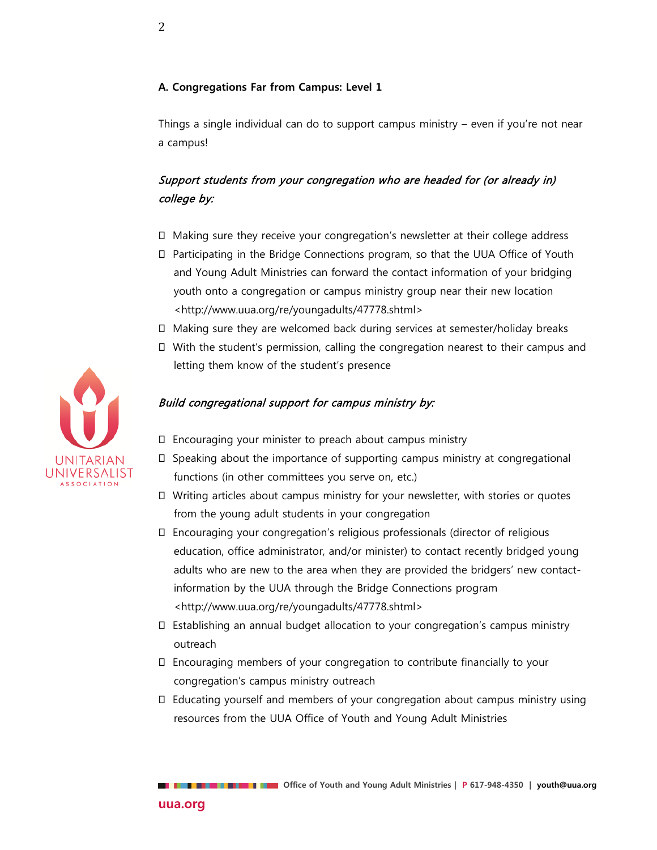#### **A. Congregations Far from Campus: Level 1**

Things a single individual can do to support campus ministry – even if you're not near a campus!

# Support students from your congregation who are headed for (or already in) college by:

- Making sure they receive your congregation's newsletter at their college address
- Participating in the Bridge Connections program, so that the UUA Office of Youth and Young Adult Ministries can forward the contact information of your bridging youth onto a congregation or campus ministry group near their new location <http://www.uua.org/re/youngadults/47778.shtml>
- Making sure they are welcomed back during services at semester/holiday breaks
- With the student's permission, calling the congregation nearest to their campus and letting them know of the student's presence

#### Build congregational support for campus ministry by:

- Encouraging your minister to preach about campus ministry
- Speaking about the importance of supporting campus ministry at congregational functions (in other committees you serve on, etc.)
- Writing articles about campus ministry for your newsletter, with stories or quotes from the young adult students in your congregation
- Encouraging your congregation's religious professionals (director of religious education, office administrator, and/or minister) to contact recently bridged young adults who are new to the area when they are provided the bridgers' new contactinformation by the UUA through the Bridge Connections program <http://www.uua.org/re/youngadults/47778.shtml>
- Establishing an annual budget allocation to your congregation's campus ministry outreach
- Encouraging members of your congregation to contribute financially to your congregation's campus ministry outreach
- Educating yourself and members of your congregation about campus ministry using resources from the UUA Office of Youth and Young Adult Ministries



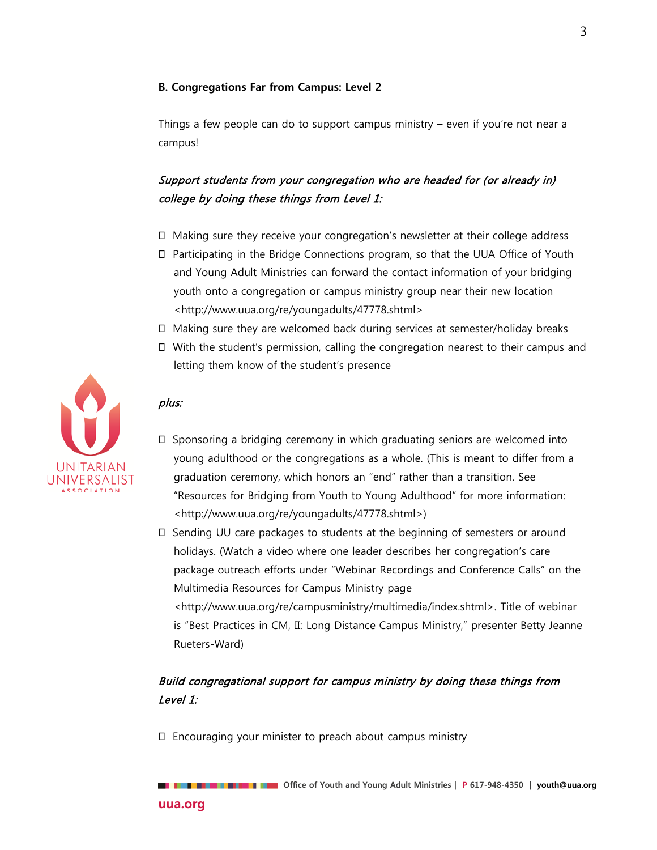#### **B. Congregations Far from Campus: Level 2**

Things a few people can do to support campus ministry – even if you're not near a campus!

# Support students from your congregation who are headed for (or already in) college by doing these things from Level 1:

- Making sure they receive your congregation's newsletter at their college address
- Participating in the Bridge Connections program, so that the UUA Office of Youth and Young Adult Ministries can forward the contact information of your bridging youth onto a congregation or campus ministry group near their new location <http://www.uua.org/re/youngadults/47778.shtml>
- Making sure they are welcomed back during services at semester/holiday breaks
- With the student's permission, calling the congregation nearest to their campus and letting them know of the student's presence

#### plus:

- $\square$  Sponsoring a bridging ceremony in which graduating seniors are welcomed into young adulthood or the congregations as a whole. (This is meant to differ from a graduation ceremony, which honors an "end" rather than a transition. See "Resources for Bridging from Youth to Young Adulthood" for more information: <http://www.uua.org/re/youngadults/47778.shtml>)
- Sending UU care packages to students at the beginning of semesters or around holidays. (Watch a video where one leader describes her congregation's care package outreach efforts under "Webinar Recordings and Conference Calls" on the Multimedia Resources for Campus Ministry page <http://www.uua.org/re/campusministry/multimedia/index.shtml>. Title of webinar

is "Best Practices in CM, II: Long Distance Campus Ministry," presenter Betty Jeanne Rueters-Ward)

# Build congregational support for campus ministry by doing these things from Level 1:

Encouraging your minister to preach about campus ministry

 **Office of Youth and Young Adult Ministries | P 617-948-4350 | youth@uua.org**

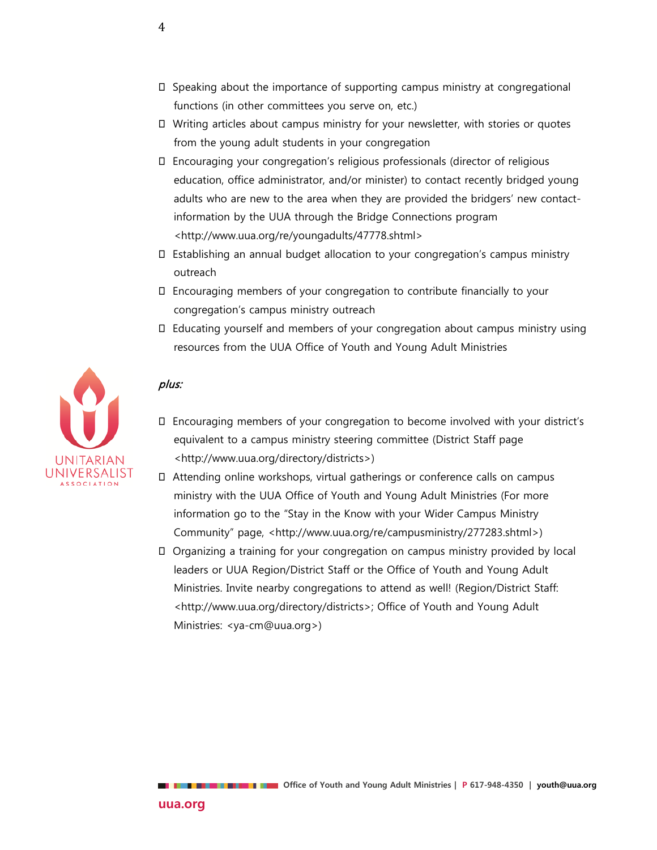- $\square$  Speaking about the importance of supporting campus ministry at congregational functions (in other committees you serve on, etc.)
- Writing articles about campus ministry for your newsletter, with stories or quotes from the young adult students in your congregation
- Encouraging your congregation's religious professionals (director of religious education, office administrator, and/or minister) to contact recently bridged young adults who are new to the area when they are provided the bridgers' new contactinformation by the UUA through the Bridge Connections program <http://www.uua.org/re/youngadults/47778.shtml>
- Establishing an annual budget allocation to your congregation's campus ministry outreach
- Encouraging members of your congregation to contribute financially to your congregation's campus ministry outreach
- Educating yourself and members of your congregation about campus ministry using resources from the UUA Office of Youth and Young Adult Ministries



#### plus:

- Encouraging members of your congregation to become involved with your district's equivalent to a campus ministry steering committee (District Staff page <http://www.uua.org/directory/districts>)
- Attending online workshops, virtual gatherings or conference calls on campus ministry with the UUA Office of Youth and Young Adult Ministries (For more information go to the "Stay in the Know with your Wider Campus Ministry Community" page, <http://www.uua.org/re/campusministry/277283.shtml>)
- Organizing a training for your congregation on campus ministry provided by local leaders or UUA Region/District Staff or the Office of Youth and Young Adult Ministries. Invite nearby congregations to attend as well! (Region/District Staff: <http://www.uua.org/directory/districts>; Office of Youth and Young Adult Ministries: <ya-cm@uua.org>)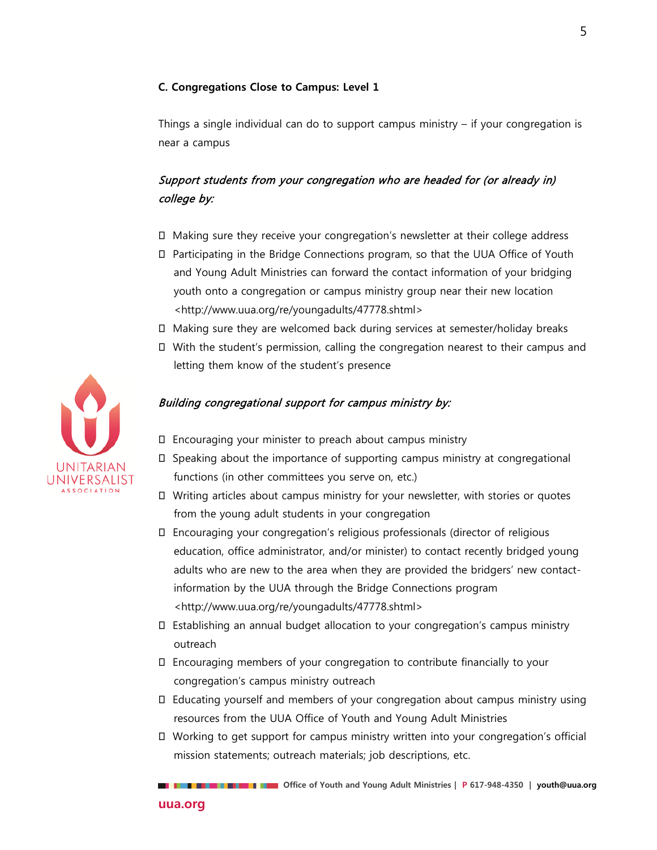#### **C. Congregations Close to Campus: Level 1**

Things a single individual can do to support campus ministry  $-$  if your congregation is near a campus

# Support students from your congregation who are headed for (or already in) college by:

- Making sure they receive your congregation's newsletter at their college address
- Participating in the Bridge Connections program, so that the UUA Office of Youth and Young Adult Ministries can forward the contact information of your bridging youth onto a congregation or campus ministry group near their new location <http://www.uua.org/re/youngadults/47778.shtml>
- Making sure they are welcomed back during services at semester/holiday breaks
- With the student's permission, calling the congregation nearest to their campus and letting them know of the student's presence

#### Building congregational support for campus ministry by:

- Encouraging your minister to preach about campus ministry
- Speaking about the importance of supporting campus ministry at congregational functions (in other committees you serve on, etc.)
- Writing articles about campus ministry for your newsletter, with stories or quotes from the young adult students in your congregation
- Encouraging your congregation's religious professionals (director of religious education, office administrator, and/or minister) to contact recently bridged young adults who are new to the area when they are provided the bridgers' new contactinformation by the UUA through the Bridge Connections program <http://www.uua.org/re/youngadults/47778.shtml>
- Establishing an annual budget allocation to your congregation's campus ministry outreach
- Encouraging members of your congregation to contribute financially to your congregation's campus ministry outreach
- Educating yourself and members of your congregation about campus ministry using resources from the UUA Office of Youth and Young Adult Ministries
- Working to get support for campus ministry written into your congregation's official mission statements; outreach materials; job descriptions, etc.

 **Office of Youth and Young Adult Ministries | P 617-948-4350 | youth@uua.org**

# NIVERSALIST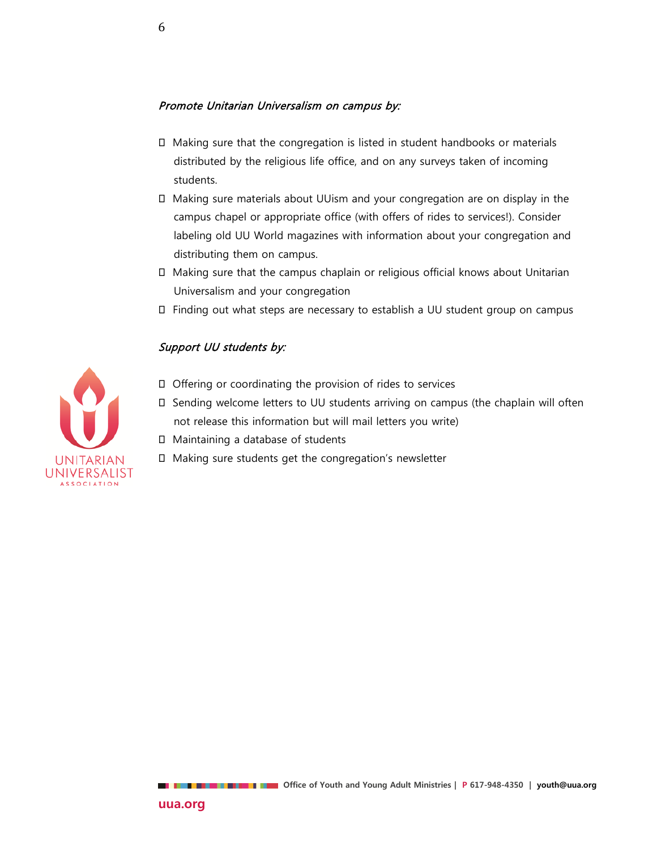#### Promote Unitarian Universalism on campus by:

- Making sure that the congregation is listed in student handbooks or materials distributed by the religious life office, and on any surveys taken of incoming students.
- Making sure materials about UUism and your congregation are on display in the campus chapel or appropriate office (with offers of rides to services!). Consider labeling old UU World magazines with information about your congregation and distributing them on campus.
- Making sure that the campus chaplain or religious official knows about Unitarian Universalism and your congregation
- Finding out what steps are necessary to establish a UU student group on campus

#### Support UU students by:



- Offering or coordinating the provision of rides to services
- Sending welcome letters to UU students arriving on campus (the chaplain will often not release this information but will mail letters you write)
- □ Maintaining a database of students
- Making sure students get the congregation's newsletter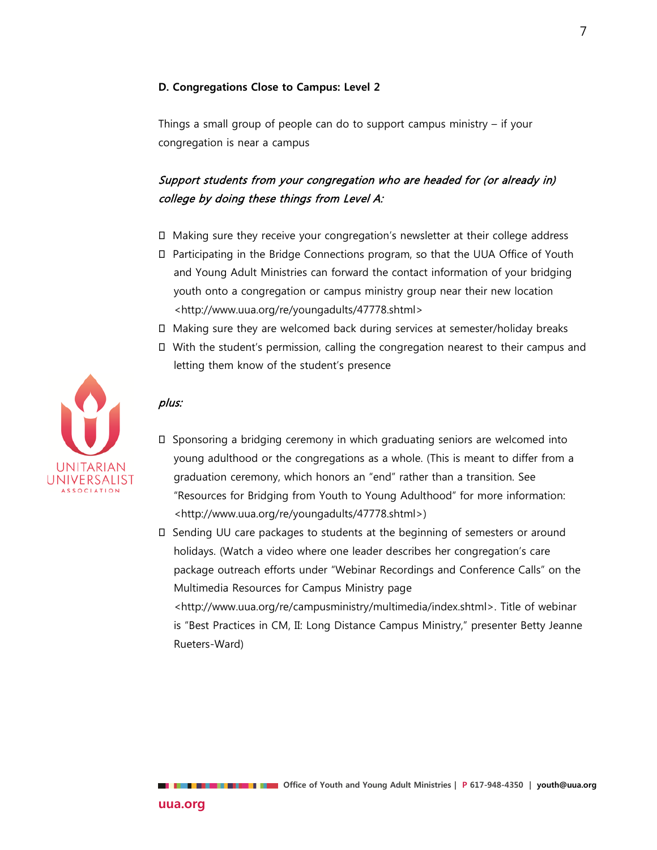#### **D. Congregations Close to Campus: Level 2**

Things a small group of people can do to support campus ministry – if your congregation is near a campus

# Support students from your congregation who are headed for (or already in) college by doing these things from Level A:

- Making sure they receive your congregation's newsletter at their college address
- Participating in the Bridge Connections program, so that the UUA Office of Youth and Young Adult Ministries can forward the contact information of your bridging youth onto a congregation or campus ministry group near their new location <http://www.uua.org/re/youngadults/47778.shtml>
- Making sure they are welcomed back during services at semester/holiday breaks
- With the student's permission, calling the congregation nearest to their campus and letting them know of the student's presence

#### plus:

- $\square$  Sponsoring a bridging ceremony in which graduating seniors are welcomed into young adulthood or the congregations as a whole. (This is meant to differ from a graduation ceremony, which honors an "end" rather than a transition. See "Resources for Bridging from Youth to Young Adulthood" for more information: <http://www.uua.org/re/youngadults/47778.shtml>)
	- Sending UU care packages to students at the beginning of semesters or around holidays. (Watch a video where one leader describes her congregation's care package outreach efforts under "Webinar Recordings and Conference Calls" on the Multimedia Resources for Campus Ministry page <http://www.uua.org/re/campusministry/multimedia/index.shtml>. Title of webinar

is "Best Practices in CM, II: Long Distance Campus Ministry," presenter Betty Jeanne Rueters-Ward)

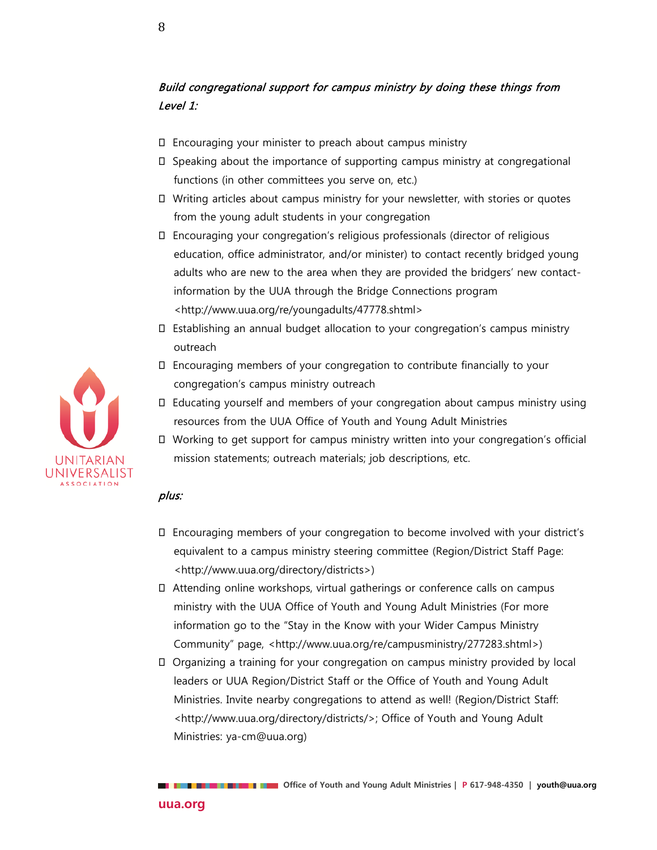# Build congregational support for campus ministry by doing these things from Level 1:

- Encouraging your minister to preach about campus ministry
- $\square$  Speaking about the importance of supporting campus ministry at congregational functions (in other committees you serve on, etc.)
- Writing articles about campus ministry for your newsletter, with stories or quotes from the young adult students in your congregation
- Encouraging your congregation's religious professionals (director of religious education, office administrator, and/or minister) to contact recently bridged young adults who are new to the area when they are provided the bridgers' new contactinformation by the UUA through the Bridge Connections program <http://www.uua.org/re/youngadults/47778.shtml>
- Establishing an annual budget allocation to your congregation's campus ministry outreach
- Encouraging members of your congregation to contribute financially to your congregation's campus ministry outreach
- Educating yourself and members of your congregation about campus ministry using resources from the UUA Office of Youth and Young Adult Ministries
- Working to get support for campus ministry written into your congregation's official mission statements; outreach materials; job descriptions, etc.

#### plus:

- Encouraging members of your congregation to become involved with your district's equivalent to a campus ministry steering committee (Region/District Staff Page: <http://www.uua.org/directory/districts>)
- Attending online workshops, virtual gatherings or conference calls on campus ministry with the UUA Office of Youth and Young Adult Ministries (For more information go to the "Stay in the Know with your Wider Campus Ministry Community" page, <http://www.uua.org/re/campusministry/277283.shtml>)
- Organizing a training for your congregation on campus ministry provided by local leaders or UUA Region/District Staff or the Office of Youth and Young Adult Ministries. Invite nearby congregations to attend as well! (Region/District Staff: <http://www.uua.org/directory/districts/>; Office of Youth and Young Adult Ministries: ya-cm@uua.org)